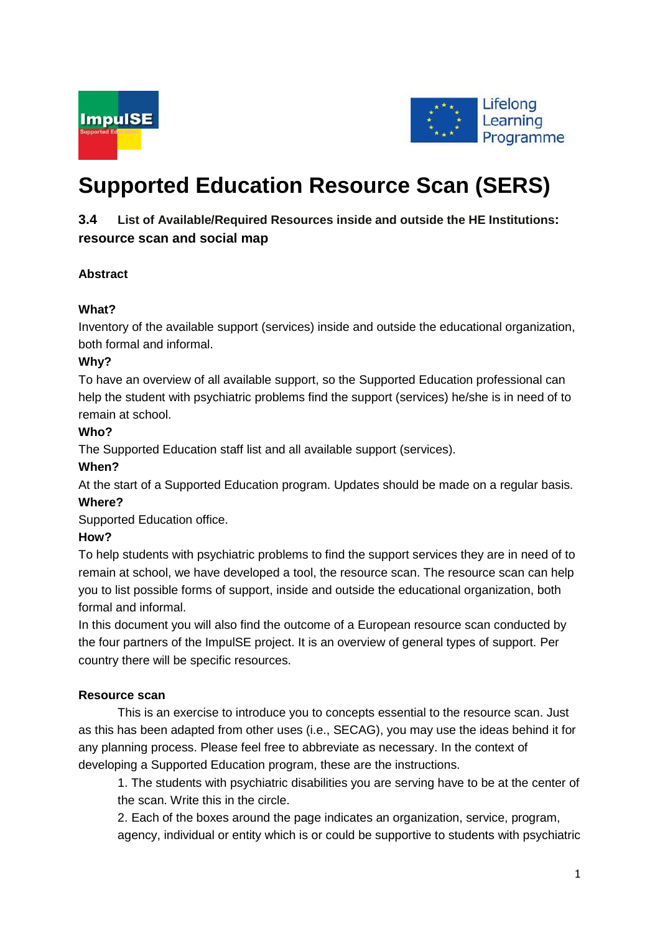



# **Supported Education Resource Scan (SERS)**

# **3.4 List of Available/Required Resources inside and outside the HE Institutions: resource scan and social map**

# **Abstract**

# **What?**

Inventory of the available support (services) inside and outside the educational organization, both formal and informal.

## **Why?**

To have an overview of all available support, so the Supported Education professional can help the student with psychiatric problems find the support (services) he/she is in need of to remain at school.

## **Who?**

The Supported Education staff list and all available support (services).

## **When?**

At the start of a Supported Education program. Updates should be made on a regular basis. **Where?**

Supported Education office.

# **How?**

To help students with psychiatric problems to find the support services they are in need of to remain at school, we have developed a tool, the resource scan. The resource scan can help you to list possible forms of support, inside and outside the educational organization, both formal and informal.

In this document you will also find the outcome of a European resource scan conducted by the four partners of the ImpulSE project. It is an overview of general types of support. Per country there will be specific resources.

## **Resource scan**

This is an exercise to introduce you to concepts essential to the resource scan. Just as this has been adapted from other uses (i.e., SECAG), you may use the ideas behind it for any planning process. Please feel free to abbreviate as necessary. In the context of developing a Supported Education program, these are the instructions.

1. The students with psychiatric disabilities you are serving have to be at the center of the scan. Write this in the circle.

2. Each of the boxes around the page indicates an organization, service, program, agency, individual or entity which is or could be supportive to students with psychiatric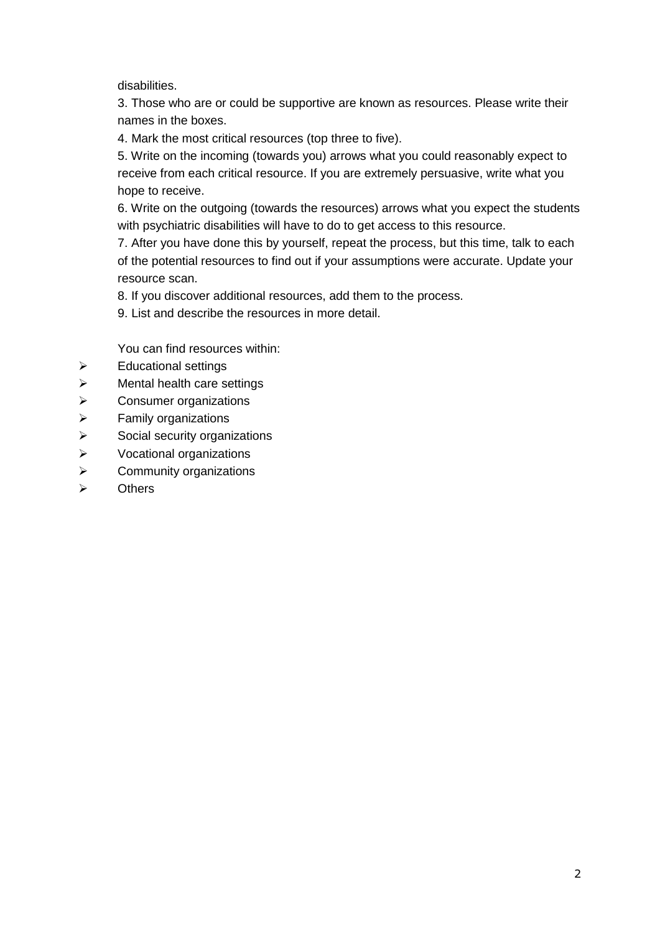disabilities.

3. Those who are or could be supportive are known as resources. Please write their names in the boxes.

4. Mark the most critical resources (top three to five).

5. Write on the incoming (towards you) arrows what you could reasonably expect to receive from each critical resource. If you are extremely persuasive, write what you hope to receive.

6. Write on the outgoing (towards the resources) arrows what you expect the students with psychiatric disabilities will have to do to get access to this resource.

7. After you have done this by yourself, repeat the process, but this time, talk to each of the potential resources to find out if your assumptions were accurate. Update your resource scan.

8. If you discover additional resources, add them to the process.

9. List and describe the resources in more detail.

You can find resources within:

- $\triangleright$  Educational settings
- $\triangleright$  Mental health care settings
- $\triangleright$  Consumer organizations
- $\triangleright$  Family organizations
- $\triangleright$  Social security organizations
- $\triangleright$  Vocational organizations
- $\triangleright$  Community organizations
- $\triangleright$  Others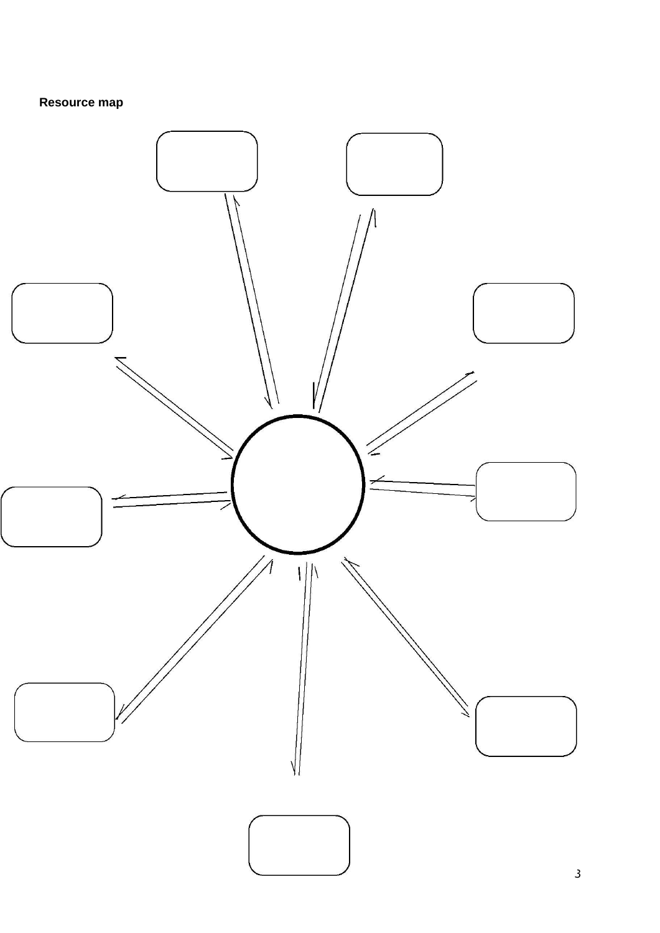# **Resource map**

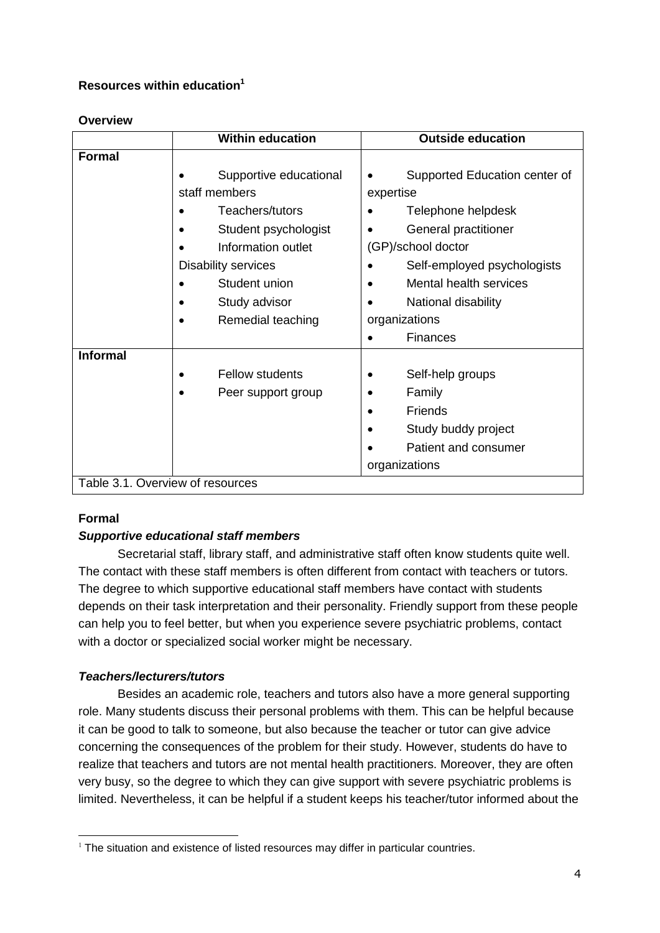## **Resources within education<sup>1</sup>**

#### **Overview**

|                                  | <b>Within education</b>    | <b>Outside education</b>      |
|----------------------------------|----------------------------|-------------------------------|
| <b>Formal</b>                    |                            |                               |
|                                  | Supportive educational     | Supported Education center of |
|                                  | staff members              | expertise                     |
|                                  | Teachers/tutors            | Telephone helpdesk            |
|                                  | Student psychologist       | General practitioner          |
|                                  | Information outlet         | (GP)/school doctor            |
|                                  | <b>Disability services</b> | Self-employed psychologists   |
|                                  | Student union              | Mental health services        |
|                                  | Study advisor              | National disability           |
|                                  | Remedial teaching          | organizations                 |
|                                  |                            | Finances                      |
| <b>Informal</b>                  |                            |                               |
|                                  | <b>Fellow students</b>     | Self-help groups              |
|                                  | Peer support group         | Family                        |
|                                  |                            | Friends<br>$\bullet$          |
|                                  |                            | Study buddy project           |
|                                  |                            | Patient and consumer          |
|                                  |                            | organizations                 |
| Table 3.1. Overview of resources |                            |                               |

## **Formal**

# *Supportive educational staff members*

Secretarial staff, library staff, and administrative staff often know students quite well. The contact with these staff members is often different from contact with teachers or tutors. The degree to which supportive educational staff members have contact with students depends on their task interpretation and their personality. Friendly support from these people can help you to feel better, but when you experience severe psychiatric problems, contact with a doctor or specialized social worker might be necessary.

# *Teachers/lecturers/tutors*

Besides an academic role, teachers and tutors also have a more general supporting role. Many students discuss their personal problems with them. This can be helpful because it can be good to talk to someone, but also because the teacher or tutor can give advice concerning the consequences of the problem for their study. However, students do have to realize that teachers and tutors are not mental health practitioners. Moreover, they are often very busy, so the degree to which they can give support with severe psychiatric problems is limited. Nevertheless, it can be helpful if a student keeps his teacher/tutor informed about the

<sup>-</sup> $1$  The situation and existence of listed resources may differ in particular countries.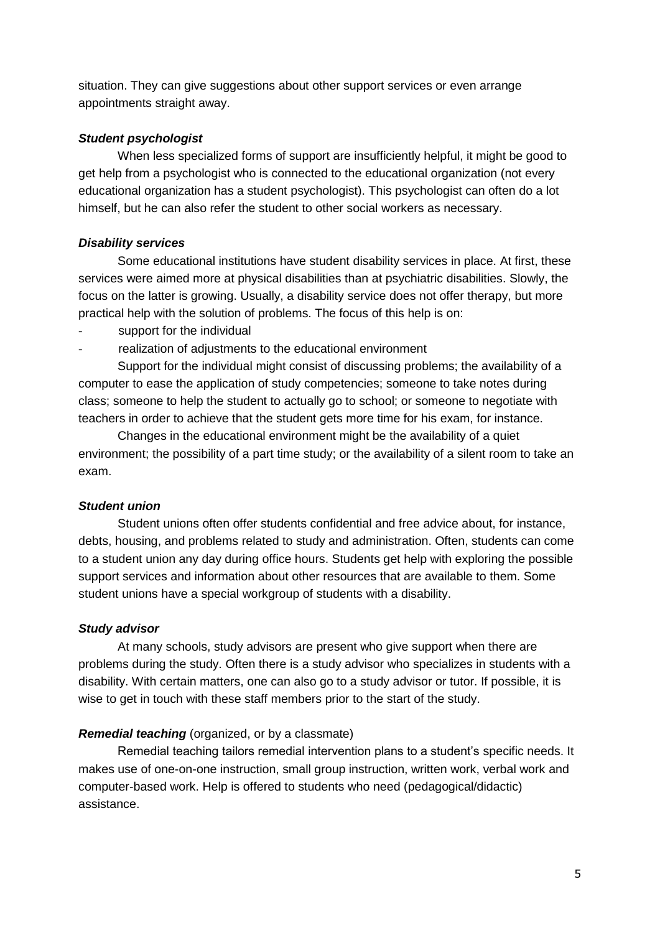situation. They can give suggestions about other support services or even arrange appointments straight away.

#### *Student psychologist*

When less specialized forms of support are insufficiently helpful, it might be good to get help from a psychologist who is connected to the educational organization (not every educational organization has a student psychologist). This psychologist can often do a lot himself, but he can also refer the student to other social workers as necessary.

## *Disability services*

Some educational institutions have student disability services in place. At first, these services were aimed more at physical disabilities than at psychiatric disabilities. Slowly, the focus on the latter is growing. Usually, a disability service does not offer therapy, but more practical help with the solution of problems. The focus of this help is on:

- support for the individual
- realization of adjustments to the educational environment

Support for the individual might consist of discussing problems; the availability of a computer to ease the application of study competencies; someone to take notes during class; someone to help the student to actually go to school; or someone to negotiate with teachers in order to achieve that the student gets more time for his exam, for instance.

Changes in the educational environment might be the availability of a quiet environment; the possibility of a part time study; or the availability of a silent room to take an exam.

## *Student union*

Student unions often offer students confidential and free advice about, for instance, debts, housing, and problems related to study and administration. Often, students can come to a student union any day during office hours. Students get help with exploring the possible support services and information about other resources that are available to them. Some student unions have a special workgroup of students with a disability.

## *Study advisor*

At many schools, study advisors are present who give support when there are problems during the study. Often there is a study advisor who specializes in students with a disability. With certain matters, one can also go to a study advisor or tutor. If possible, it is wise to get in touch with these staff members prior to the start of the study.

## *Remedial teaching* (organized, or by a classmate)

Remedial teaching tailors remedial intervention plans to a student's specific needs. It makes use of one-on-one instruction, small group instruction, written work, verbal work and computer-based work. Help is offered to students who need (pedagogical/didactic) assistance.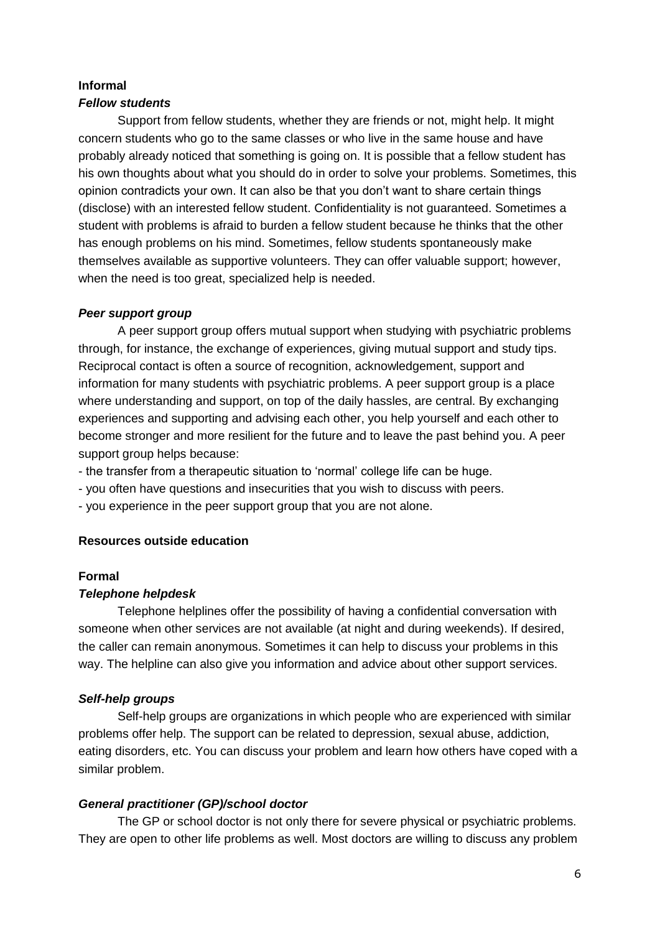#### **Informal**

#### *Fellow students*

Support from fellow students, whether they are friends or not, might help. It might concern students who go to the same classes or who live in the same house and have probably already noticed that something is going on. It is possible that a fellow student has his own thoughts about what you should do in order to solve your problems. Sometimes, this opinion contradicts your own. It can also be that you don't want to share certain things (disclose) with an interested fellow student. Confidentiality is not guaranteed. Sometimes a student with problems is afraid to burden a fellow student because he thinks that the other has enough problems on his mind. Sometimes, fellow students spontaneously make themselves available as supportive volunteers. They can offer valuable support; however, when the need is too great, specialized help is needed.

#### *Peer support group*

A peer support group offers mutual support when studying with psychiatric problems through, for instance, the exchange of experiences, giving mutual support and study tips. Reciprocal contact is often a source of recognition, acknowledgement, support and information for many students with psychiatric problems. A peer support group is a place where understanding and support, on top of the daily hassles, are central. By exchanging experiences and supporting and advising each other, you help yourself and each other to become stronger and more resilient for the future and to leave the past behind you. A peer support group helps because:

- the transfer from a therapeutic situation to 'normal' college life can be huge.
- you often have questions and insecurities that you wish to discuss with peers.
- you experience in the peer support group that you are not alone.

#### **Resources outside education**

#### **Formal**

#### *Telephone helpdesk*

Telephone helplines offer the possibility of having a confidential conversation with someone when other services are not available (at night and during weekends). If desired, the caller can remain anonymous. Sometimes it can help to discuss your problems in this way. The helpline can also give you information and advice about other support services.

## *Self-help groups*

Self-help groups are organizations in which people who are experienced with similar problems offer help. The support can be related to depression, sexual abuse, addiction, eating disorders, etc. You can discuss your problem and learn how others have coped with a similar problem.

## *General practitioner (GP)/school doctor*

The GP or school doctor is not only there for severe physical or psychiatric problems. They are open to other life problems as well. Most doctors are willing to discuss any problem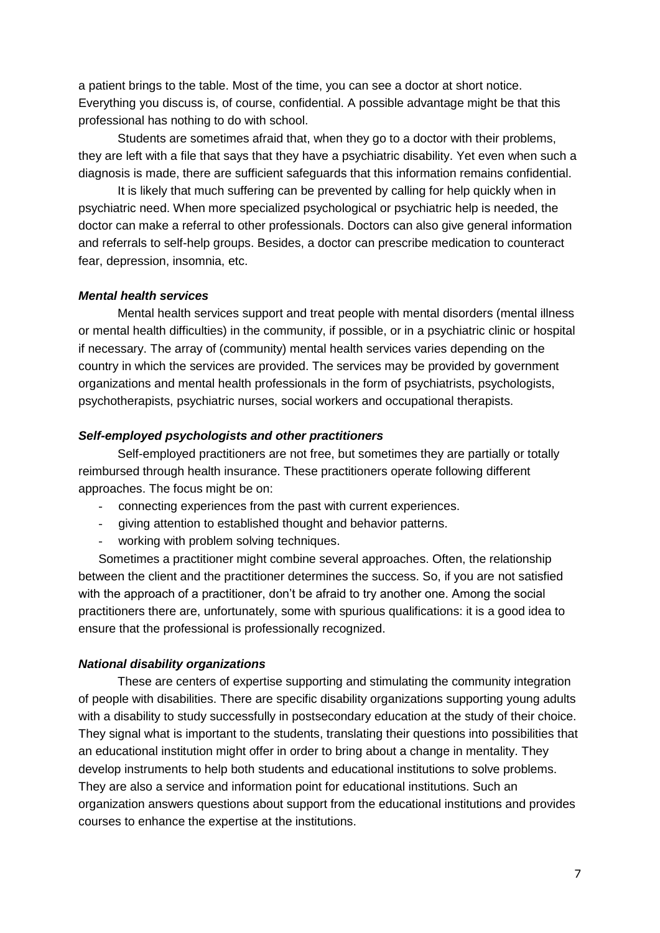a patient brings to the table. Most of the time, you can see a doctor at short notice. Everything you discuss is, of course, confidential. A possible advantage might be that this professional has nothing to do with school.

Students are sometimes afraid that, when they go to a doctor with their problems, they are left with a file that says that they have a psychiatric disability. Yet even when such a diagnosis is made, there are sufficient safeguards that this information remains confidential.

It is likely that much suffering can be prevented by calling for help quickly when in psychiatric need. When more specialized psychological or psychiatric help is needed, the doctor can make a referral to other professionals. Doctors can also give general information and referrals to self-help groups. Besides, a doctor can prescribe medication to counteract fear, depression, insomnia, etc.

#### *Mental health services*

Mental health services support and treat people with mental disorders (mental illness or mental health difficulties) in the community, if possible, or in a psychiatric clinic or hospital if necessary. The array of (community) mental health services varies depending on the country in which the services are provided. The services may be provided by government organizations and mental health professionals in the form of psychiatrists, psychologists, psychotherapists, psychiatric nurses, social workers and occupational therapists.

#### *Self-employed psychologists and other practitioners*

Self-employed practitioners are not free, but sometimes they are partially or totally reimbursed through health insurance. These practitioners operate following different approaches. The focus might be on:

- connecting experiences from the past with current experiences.
- giving attention to established thought and behavior patterns.
- working with problem solving techniques.

Sometimes a practitioner might combine several approaches. Often, the relationship between the client and the practitioner determines the success. So, if you are not satisfied with the approach of a practitioner, don't be afraid to try another one. Among the social practitioners there are, unfortunately, some with spurious qualifications: it is a good idea to ensure that the professional is professionally recognized.

#### *National disability organizations*

These are centers of expertise supporting and stimulating the community integration of people with disabilities. There are specific disability organizations supporting young adults with a disability to study successfully in postsecondary education at the study of their choice. They signal what is important to the students, translating their questions into possibilities that an educational institution might offer in order to bring about a change in mentality. They develop instruments to help both students and educational institutions to solve problems. They are also a service and information point for educational institutions. Such an organization answers questions about support from the educational institutions and provides courses to enhance the expertise at the institutions.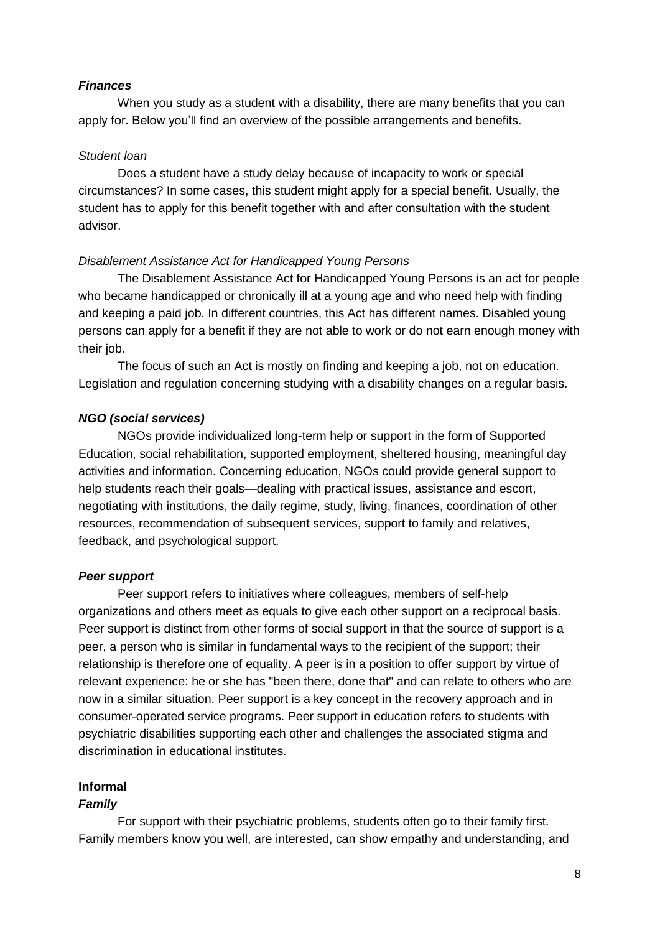#### *Finances*

When you study as a student with a disability, there are many benefits that you can apply for. Below you'll find an overview of the possible arrangements and benefits.

#### *Student loan*

Does a student have a study delay because of incapacity to work or special circumstances? In some cases, this student might apply for a special benefit. Usually, the student has to apply for this benefit together with and after consultation with the student advisor.

#### *Disablement Assistance Act for Handicapped Young Persons*

The Disablement Assistance Act for Handicapped Young Persons is an act for people who became handicapped or chronically ill at a young age and who need help with finding and keeping a paid job. In different countries, this Act has different names. Disabled young persons can apply for a benefit if they are not able to work or do not earn enough money with their job.

The focus of such an Act is mostly on finding and keeping a job, not on education. Legislation and regulation concerning studying with a disability changes on a regular basis.

#### *NGO (social services)*

NGOs provide individualized long-term help or support in the form of Supported Education, social rehabilitation, supported employment, sheltered housing, meaningful day activities and information. Concerning education, NGOs could provide general support to help students reach their goals—dealing with practical issues, assistance and escort, negotiating with institutions, the daily regime, study, living, finances, coordination of other resources, recommendation of subsequent services, support to family and relatives, feedback, and psychological support.

#### *Peer support*

Peer support refers to initiatives where colleagues, members of self-help organizations and others meet as equals to give each other support on a reciprocal basis. Peer support is distinct from other forms of social support in that the source of support is a peer, a person who is similar in fundamental ways to the recipient of the support; their relationship is therefore one of equality. A peer is in a position to offer support by virtue of relevant experience: he or she has "been there, done that" and can relate to others who are now in a similar situation. Peer support is a key concept in the recovery approach and in consumer-operated service programs. Peer support in education refers to students with psychiatric disabilities supporting each other and challenges the associated stigma and discrimination in educational institutes.

#### **Informal**

#### *Family*

For support with their psychiatric problems, students often go to their family first. Family members know you well, are interested, can show empathy and understanding, and